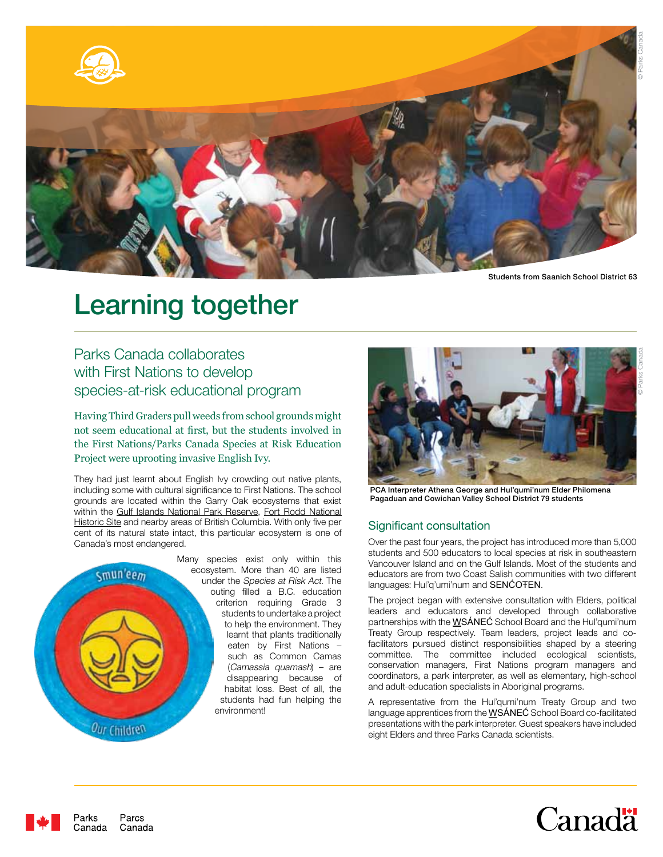

Students from Saanich School District 63

© Parks Canada

© Parks Canada

# Learning together

Parks Canada collaborates with First Nations to develop species-at-risk educational program

Having Third Graders pull weeds from school grounds might not seem educational at first, but the students involved in the First Nations/Parks Canada Species at Risk Education Project were uprooting invasive English Ivy.

They had just learnt about English Ivy crowding out native plants, including some with cultural significance to First Nations. The school grounds are located within the Garry Oak ecosystems that exist within the Gulf Islands National Park Reserve, Fort Rodd National Historic Site and nearby areas of British Columbia. With only five per cent of its natural state intact, this particular ecosystem is one of Canada's most endangered.



Parcs

Canada

Parks Canada



PCA Interpreter Athena George and Hul'qumi'num Elder Philomena Pagaduan and Cowichan Valley School District 79 students

# Significant consultation

Over the past four years, the project has introduced more than 5,000 students and 500 educators to local species at risk in southeastern Vancouver Island and on the Gulf Islands. Most of the students and educators are from two Coast Salish communities with two different languages: Hul'q'umi'num and SENĆOŦEN.

The project began with extensive consultation with Elders, political leaders and educators and developed through collaborative partnerships with the  $W\$ SÁNEĆ School Board and the Hul'qumi'num Treaty Group respectively. Team leaders, project leads and cofacilitators pursued distinct responsibilities shaped by a steering committee. The committee included ecological scientists, conservation managers, First Nations program managers and coordinators, a park interpreter, as well as elementary, high-school and adult-education specialists in Aboriginal programs.

A representative from the Hul'qumi'num Treaty Group and two language apprentices from the **WSÁNEC** School Board co-facilitated presentations with the park interpreter. Guest speakers have included eight Elders and three Parks Canada scientists.